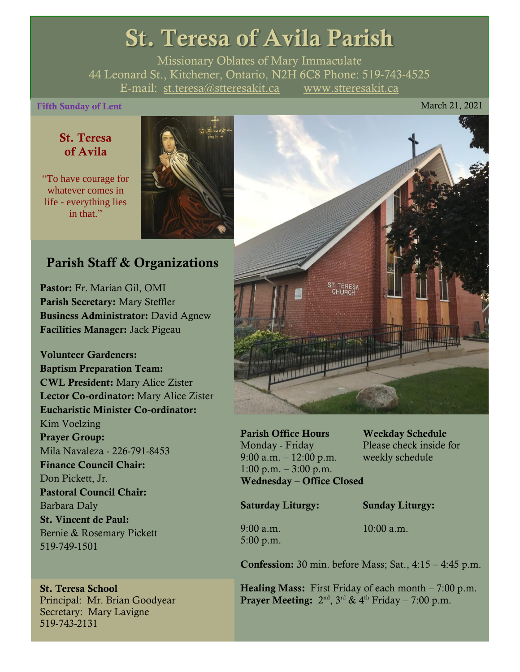## St. Teresa of Avila Parish

Missionary Oblates of Mary Immaculate 44 Leonard St., Kitchener, Ontario, N2H 6C8 Phone: 519-743-4525 E-mail: [st.teresa@stteresakit.ca](mailto:st.teresa@stteresakit.ca) [www.stteresakit.ca](http://www.stteresakit.ca/)

#### Fifth Sunday of Lent March 21, 2021

#### St. Teresa of Avila

"To have courage for whatever comes in life - everything lies in that"



#### Parish Staff & Organizations

Pastor: Fr. Marian Gil, OMI Parish Secretary: Mary Steffler Business Administrator: David Agnew Facilities Manager: Jack Pigeau

Volunteer Gardeners: Baptism Preparation Team: CWL President: Mary Alice Zister Lector Co-ordinator: Mary Alice Zister Eucharistic Minister Co-ordinator: Kim Voelzing Prayer Group: Mila Navaleza - 226-791-8453 Finance Council Chair: Don Pickett, Jr. Pastoral Council Chair: Barbara Daly St. Vincent de Paul: Bernie & Rosemary Pickett 519-749-1501

#### St. Teresa School Principal: Mr. Brian Goodyear Secretary: Mary Lavigne 519-743-2131



Parish Office Hours Weekday Schedule Monday - Friday Please check inside for 9:00 a.m. – 12:00 p.m. weekly schedule  $1:00 \text{ p.m.} - 3:00 \text{ p.m.}$ Wednesday – Office Closed

Saturday Liturgy: Sunday Liturgy:

5:00 p.m.

9:00 a.m. 10:00 a.m.

**Confession:** 30 min. before Mass; Sat.,  $4:15 - 4:45$  p.m.

**Healing Mass:** First Friday of each month  $-7:00$  p.m. **Prayer Meeting:**  $2^{nd}$ ,  $3^{rd}$  &  $4^{th}$  Friday – 7:00 p.m.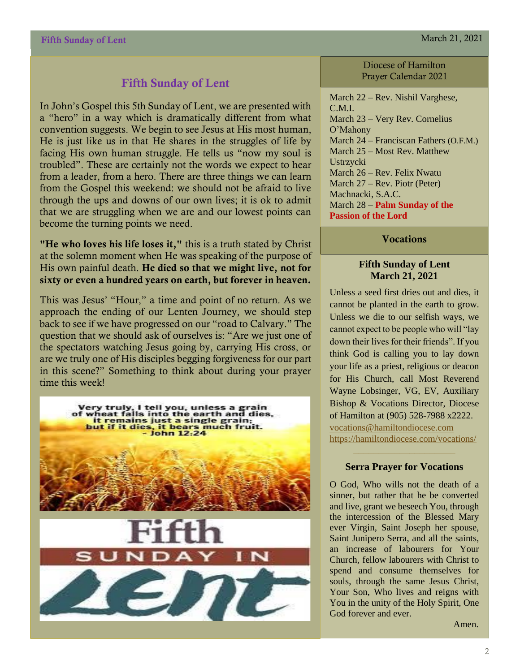#### Fifth Sunday of Lent

In John's Gospel this 5th Sunday of Lent, we are presented with a "hero" in a way which is dramatically different from what convention suggests. We begin to see Jesus at His most human, He is just like us in that He shares in the struggles of life by facing His own human struggle. He tells us "now my soul is troubled". These are certainly not the words we expect to hear from a leader, from a hero. There are three things we can learn from the Gospel this weekend: we should not be afraid to live through the ups and downs of our own lives; it is ok to admit that we are struggling when we are and our lowest points can become the turning points we need.

"He who loves his life loses it," this is a truth stated by Christ at the solemn moment when He was speaking of the purpose of His own painful death. He died so that we might live, not for sixty or even a hundred years on earth, but forever in heaven.

This was Jesus' "Hour," a time and point of no return. As we approach the ending of our Lenten Journey, we should step back to see if we have progressed on our "road to Calvary." The question that we should ask of ourselves is: "Are we just one of the spectators watching Jesus going by, carrying His cross, or are we truly one of His disciples begging forgiveness for our part in this scene?" Something to think about during your prayer time this week!



Diocese of Hamilton Prayer Calendar 2021

March 22 – Rev. Nishil Varghese, C.M.I. March 23 – Very Rev. Cornelius O'Mahony March 24 – Franciscan Fathers (O.F.M.) March 25 – Most Rev. Matthew Ustrzycki March 26 – Rev. Felix Nwatu March 27 – Rev. Piotr (Peter) Machnacki, S.A.C. March 28 – **Palm Sunday of the Passion of the Lord**

**Vocations** 

#### **Fifth Sunday of Lent March 21, 2021**

Unless a seed first dries out and dies, it cannot be planted in the earth to grow. Unless we die to our selfish ways, we cannot expect to be people who will "lay down their lives for their friends". If you think God is calling you to lay down your life as a priest, religious or deacon for His Church, call Most Reverend Wayne Lobsinger, VG, EV, Auxiliary Bishop & Vocations Director, Diocese of Hamilton at (905) 528-7988 x2222. [vocations@hamiltondiocese.com](mailto:vocations@hamiltondiocese.com)  <https://hamiltondiocese.com/vocations/>

#### **Serra Prayer for Vocations**

O God, Who wills not the death of a sinner, but rather that he be converted and live, grant we beseech You, through the intercession of the Blessed Mary ever Virgin, Saint Joseph her spouse, Saint Junipero Serra, and all the saints, an increase of labourers for Your Church, fellow labourers with Christ to spend and consume themselves for souls, through the same Jesus Christ, Your Son, Who lives and reigns with You in the unity of the Holy Spirit, One God forever and ever.

Amen.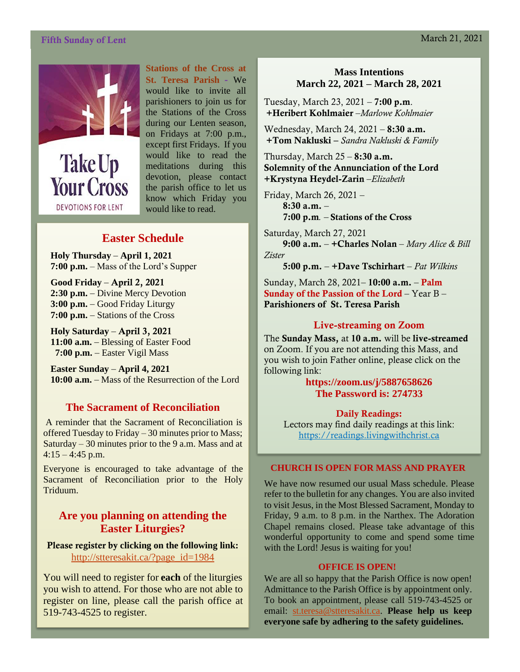#### Fifth Sunday of Lent March 21, 2021



**Take Up Your Cross DEVOTIONS FOR LENT** 

**Stations of the Cross at St. Teresa Parish -** We would like to invite all parishioners to join us for the Stations of the Cross during our Lenten season, on Fridays at 7:00 p.m., except first Fridays. If you would like to read the meditations during this devotion, please contact the parish office to let us know which Friday you would like to read.

#### **Easter Schedule**

**Holy Thursday** – **April 1, 2021 7:00 p.m.** – Mass of the Lord's Supper

**Good Friday** – April 2, 2021 **2:30 p.m.** – Divine Mercy Devotion **3:00 p.m.** – Good Friday Liturgy **7:00 p.m.** – Stations of the Cross

**Holy Saturday** – April 3, 2021 **11:00 a.m.** – Blessing of Easter Food  **7:00 p.m.** – Easter Vigil Mass

**Easter Sunday** – **April 4, 2021 10:00 a.m.** – Mass of the Resurrection of the Lord

#### **The Sacrament of Reconciliation**

A reminder that the Sacrament of Reconciliation is offered Tuesday to Friday – 30 minutes prior to Mass; Saturday  $-30$  minutes prior to the 9 a.m. Mass and at  $4:15 - 4:45$  p.m.

Everyone is encouraged to take advantage of the Sacrament of Reconciliation prior to the Holy Triduum.

#### **Are you planning on attending the Easter Liturgies?**

Please register by **clicking on the following link:** [http://stteresakit.ca/?page\\_id=1984](http://stteresakit.ca/?page_id=1984)

You will need to register for **each** of the liturgies you wish to attend. For those who are not able to register on line, please call the parish office at 519-743-4525 to register.

#### **Mass Intentions March 22, 2021 – March 28, 2021**

Tuesday, March 23, 2021 – 7:00 p.m. +Heribert Kohlmaier –*Marlowe Kohlmaier*

Wednesday, March 24, 2021 – 8:30 a.m. +Tom Nakluski – *Sandra Nakluski & Family*

Thursday, March  $25 - 8:30$  a.m. Solemnity of the Annunciation of the Lord +Krystyna Heydel-Zarin –*Elizabeth*

Friday, March 26, 2021 – 8:30 a.m. – 7:00 p.m*. –* Stations of the Cross

Saturday, March 27, 2021 9:00 a.m. – +Charles Nolan – *Mary Alice & Bill Zister*

5:00 p.m. – +Dave Tschirhart – *Pat Wilkins*

Sunday, March 28, 2021– 10:00 a.m. – Palm Sunday of the Passion of the Lord – Year B – Parishioners of St. Teresa Parish

#### Live-streaming on Zoom

The Sunday Mass, at 10 a.m. will be live-streamed on Zoom. If you are not attending this Mass, and you wish to join Father online, please click on the following link:

> **<https://zoom.us/j/5887658626> The Password is: 274733**

Daily Readings: Lectors may find daily readings at this link: [https://readings.livingwithchrist.ca](https://readings.livingwithchrist.ca/)

#### **CHURCH IS OPEN FOR MASS AND PRAYER**

We have now resumed our usual Mass schedule. Please refer to the bulletin for any changes. You are also invited to visit Jesus, in the Most Blessed Sacrament, Monday to Friday, 9 a.m. to 8 p.m. in the Narthex. The Adoration Chapel remains closed. Please take advantage of this wonderful opportunity to come and spend some time with the Lord! Jesus is waiting for you!

#### **OFFICE IS OPEN!**

We are all so happy that the Parish Office is now open! Admittance to the Parish Office is by appointment only. To book an appointment, please call 519-743-4525 or email: [st.teresa@stteresakit.ca.](mailto:st.teresa@stteresakit.ca) **Please help us keep everyone safe by adhering to the safety guidelines.**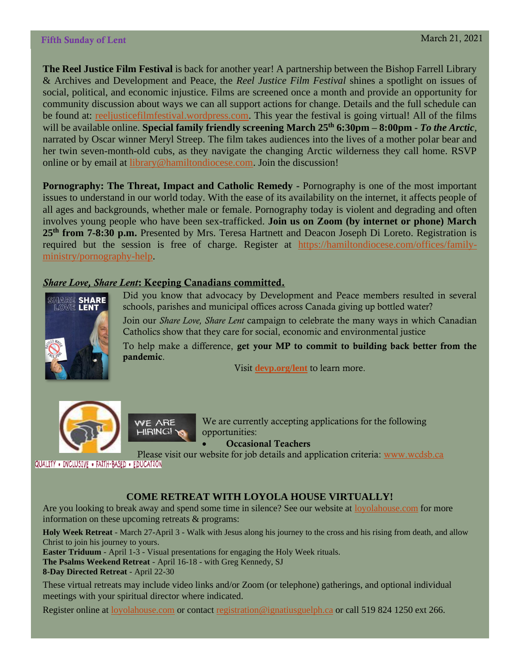**The Reel Justice Film Festival** is back for another year! A partnership between the Bishop Farrell Library & Archives and Development and Peace, the *Reel Justice Film Festival* shines a spotlight on issues of social, political, and economic injustice. Films are screened once a month and provide an opportunity for community discussion about ways we can all support actions for change. Details and the full schedule can be found at: [reeljusticefilmfestival.wordpress.com.](https://reeljusticefilmfestival.wordpress.com/) This year the festival is going virtual! All of the films will be available online. **Special family friendly screening March 25th 6:30pm – 8:00pm -** *To the Arctic,* narrated by Oscar winner Meryl Streep. The film takes audiences into the lives of a mother polar bear and her twin seven-month-old cubs, as they navigate the changing Arctic wilderness they call home. RSVP online or by email at [library@hamiltondiocese.com.](mailto:library@hamiltondiocese.com) Join the discussion!

**Pornography: The Threat, Impact and Catholic Remedy -** Pornography is one of the most important issues to understand in our world today. With the ease of its availability on the internet, it affects people of all ages and backgrounds, whether male or female. Pornography today is violent and degrading and often involves young people who have been sex-trafficked. **Join us on Zoom (by internet or phone) March 25th from 7-8:30 p.m.** Presented by Mrs. Teresa Hartnett and Deacon Joseph Di Loreto. Registration is required but the session is free of charge. Register at [https://hamiltondiocese.com/offices/family](https://hamiltondiocese.com/offices/family-ministry/pornography-help)[ministry/pornography-help.](https://hamiltondiocese.com/offices/family-ministry/pornography-help)

#### *Share Love, Share Lent*: Keeping Canadians committed.



Did you know that advocacy by Development and Peace members resulted in several schools, parishes and municipal offices across Canada giving up bottled water?

Join our *Share Love, Share Lent* campaign to celebrate the many ways in which Canadian Catholics show that they care for social, economic and environmental justice

To help make a difference, get your MP to commit to building back better from the pandemic.

Visit **[devp.org/lent](https://devp.org/lent)** to learn more.





We are currently accepting applications for the following opportunities:

• Occasional Teachers

Please visit our website for job details and application criteria: [www.wcdsb.ca](http://www.wcdsb.ca/)

#### QUALITY . INCLUSIVE . FAITH-BASED . EDUCATION

#### **COME RETREAT WITH LOYOLA HOUSE VIRTUALLY!**

Are you looking to break away and spend some time in silence? See our website at [loyolahouse.com](http://r20.rs6.net/tn.jsp?f=001XjHRUN8QKIUuk6A42tRpg3vYlm25-GEPtIzSnHPpPFIhdhIa9xXy_JbBptDqETJqmZTFvG51P-htyZZW56Yl_TGCZt-s5AjHwtkXF1taQfmK9V9XyZTbEVfOeWw_LB1Hl7O0HI2ZQURR-6jd4izTJ2sdVG1pzdfg3z7PAmxRWZb3lLQykD5xbk4jYs_rIwTL&c=6sJAHPRK9D-CdbbnIFQM5_zN8zSubQs34O8H2xjZDmO_K7G6_6PXvg==&ch=qflE_6FbBButH-iHXeL-RZLdg8brTNWvbl66F1QwD1Rt1900hHDTVA==) for more information on these upcoming retreats & programs:

**Holy Week Retreat** - March 27-April 3 - Walk with Jesus along his journey to the cross and his rising from death, and allow Christ to join his journey to yours.

**Easter Triduum** - April 1-3 - Visual presentations for engaging the Holy Week rituals.

**The Psalms Weekend Retreat** - April 16-18 - with Greg Kennedy, SJ

**8-Day Directed Retreat** - April 22-30

These virtual retreats may include video links and/or Zoom (or telephone) gatherings, and optional individual meetings with your spiritual director where indicated.

Register online a[t loyolahouse.com](http://r20.rs6.net/tn.jsp?f=001XjHRUN8QKIUuk6A42tRpg3vYlm25-GEPtIzSnHPpPFIhdhIa9xXy_JbBptDqETJqmZTFvG51P-htyZZW56Yl_TGCZt-s5AjHwtkXF1taQfmK9V9XyZTbEVfOeWw_LB1Hl7O0HI2ZQURR-6jd4izTJ2sdVG1pzdfg3z7PAmxRWZb3lLQykD5xbk4jYs_rIwTL&c=6sJAHPRK9D-CdbbnIFQM5_zN8zSubQs34O8H2xjZDmO_K7G6_6PXvg==&ch=qflE_6FbBButH-iHXeL-RZLdg8brTNWvbl66F1QwD1Rt1900hHDTVA==) or contact [registration@ignatiusguelph.ca](mailto:registration@ignatiusguelph.ca) or call 519 824 1250 ext 266.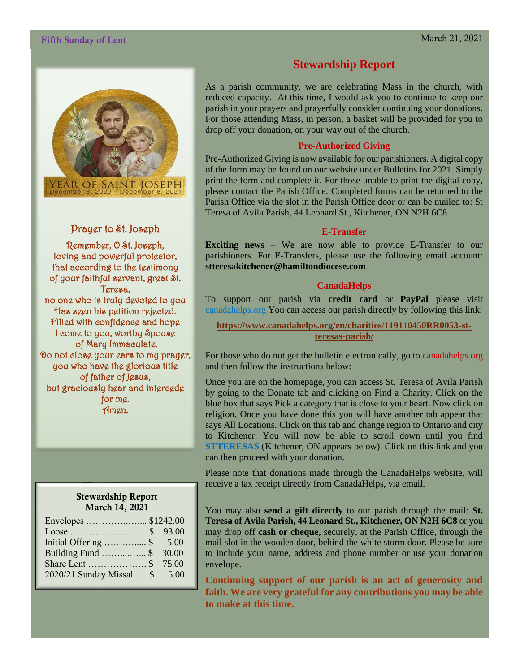#### Fifth Sunday of Lent March 21, 2021



YEAR OF SAINT<br>December 8, 2020 – Dece

Prayer to St. Joseph

Remember, O St. Joseph, loving and powerful protector, that according to the testimony of your faithful servant, great St. Teresa, no one who is truly devoted to you Has seen his petition rejected. Filled with confidence and hope I come to you, worthy Spouse of Mary Immaculate. Do not close your ears to my prayer, you who have the glorious title of father of Jesus, but graciously hear and intercede for me. Amen.

#### Stewardship Report March 14, 2021

| Envelopes  \$1242.00           |       |
|--------------------------------|-------|
|                                |       |
| Initial Offering $\$ 5.00$     |       |
| Building Fund \$               | 30.00 |
|                                |       |
| 2020/21 Sunday Missal  \$ 5.00 |       |

#### **Stewardship Report**

As a parish community, we are celebrating Mass in the church, with reduced capacity. At this time, I would ask you to continue to keep our parish in your prayers and prayerfully consider continuing your donations. For those attending Mass, in person, a basket will be provided for you to drop off your donation, on your way out of the church.

#### **Pre-Authorized Giving**

Pre-Authorized Giving is now available for our parishioners. A digital copy of the form may be found on our website under Bulletins for 2021. Simply print the form and complete it. For those unable to print the digital copy, please contact the Parish Office. Completed forms can be returned to the Parish Office via the slot in the Parish Office door or can be mailed to: St Teresa of Avila Parish, 44 Leonard St., Kitchener, ON N2H 6C8

#### **E-Transfer**

**Exciting news –** We are now able to provide E-Transfer to our parishioners. For E-Transfers, please use the following email account: **stteresakitchener@hamiltondiocese.com**

#### **CanadaHelps**

To support our parish via **credit card** or **PayPal** please visit canadahelps.org You can access our parish directly by following this link:

**[https://www.canadahelps.org/en/charities/119110450RR0053-st](https://www.canadahelps.org/en/charities/119110450RR0053-st-teresas-parish/)[teresas-parish/](https://www.canadahelps.org/en/charities/119110450RR0053-st-teresas-parish/)**

For those who do not get the bulletin electronically, go to canadahelps.org and then follow the instructions below:

Once you are on the homepage, you can access St. Teresa of Avila Parish by going to the Donate tab and clicking on Find a Charity. Click on the blue box that says Pick a category that is close to your heart. Now click on religion. Once you have done this you will have another tab appear that says All Locations. Click on this tab and change region to Ontario and city to Kitchener. You will now be able to scroll down until you find **STTERESAS** (Kitchener, ON appears below). Click on this link and you can then proceed with your donation.

Please note that donations made through the CanadaHelps website, will receive a tax receipt directly from CanadaHelps, via email.

You may also **send a gift directly** to our parish through the mail: **St. Teresa of Avila Parish, 44 Leonard St., Kitchener, ON N2H 6C8** or you may drop off **cash or cheque,** securely, at the Parish Office, through the mail slot in the wooden door, behind the white storm door. Please be sure to include your name, address and phone number or use your donation envelope.

**Continuing support of our parish is an act of generosity and faith. We are very grateful for any contributions you may be able to make at this time.**